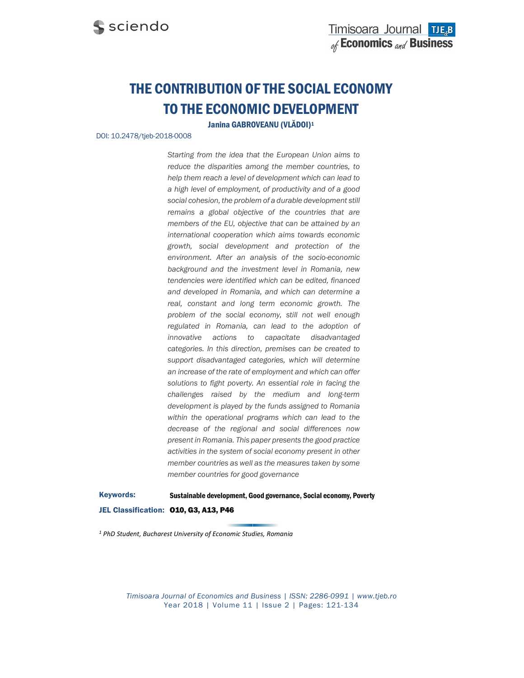# THE CONTRIBUTION OF THE SOCIAL ECONOMY TO THE ECONOMIC DEVELOPMENT

Janina GABROVEANU (VLĂDOI)1

#### DOI: 10.2478/tjeb-2018-0008

Starting from the idea that the European Union aims to reduce the disparities among the member countries, to help them reach a level of development which can lead to a high level of employment, of productivity and of a good social cohesion, the problem of a durable development still remains a global objective of the countries that are members of the EU, objective that can be attained by an international cooperation which aims towards economic growth, social development and protection of the environment. After an analysis of the socio-economic background and the investment level in Romania, new tendencies were identified which can be edited, financed and developed in Romania, and which can determine a real, constant and long term economic growth. The problem of the social economy, still not well enough regulated in Romania, can lead to the adoption of innovative actions to capacitate disadvantaged categories. In this direction, premises can be created to support disadvantaged categories, which will determine an increase of the rate of employment and which can offer solutions to fight poverty. An essential role in facing the challenges raised by the medium and long-term development is played by the funds assigned to Romania within the operational programs which can lead to the decrease of the regional and social differences now present in Romania. This paper presents the good practice activities in the system of social economy present in other member countries as well as the measures taken by some member countries for good governance

Keywords: Sustainable development, Good governance, Social economy, Poverty JEL Classification: 010, G3, A13, P46

1 PhD Student, Bucharest University of Economic Studies, Romania

Timisoara Journal of Economics and Business | ISSN: 2286-0991 | www.tjeb.ro Year 2018 | Volume 11 | Issue 2 | Pages: 121-134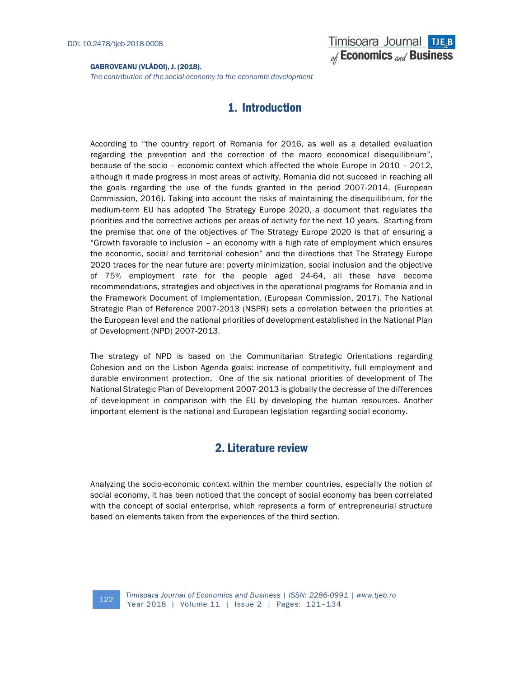The contribution of the social economy to the economic development

# 1. Introduction

According to "the country report of Romania for 2016, as well as a detailed evaluation regarding the prevention and the correction of the macro economical disequilibrium", because of the socio – economic context which affected the whole Europe in 2010 – 2012, although it made progress in most areas of activity, Romania did not succeed in reaching all the goals regarding the use of the funds granted in the period 2007-2014. (European Commission, 2016). Taking into account the risks of maintaining the disequilibrium, for the medium-term EU has adopted The Strategy Europe 2020, a document that regulates the priorities and the corrective actions per areas of activity for the next 10 years. Starting from the premise that one of the objectives of The Strategy Europe 2020 is that of ensuring a "Growth favorable to inclusion – an economy with a high rate of employment which ensures the economic, social and territorial cohesion" and the directions that The Strategy Europe 2020 traces for the near future are: poverty minimization, social inclusion and the objective of 75% employment rate for the people aged 24-64, all these have become recommendations, strategies and objectives in the operational programs for Romania and in the Framework Document of Implementation. (European Commission, 2017). The National Strategic Plan of Reference 2007-2013 (NSPR) sets a correlation between the priorities at the European level and the national priorities of development established in the National Plan of Development (NPD) 2007-2013.

The strategy of NPD is based on the Communitarian Strategic Orientations regarding Cohesion and on the Lisbon Agenda goals: increase of competitivity, full employment and durable environment protection. One of the six national priorities of development of The National Strategic Plan of Development 2007-2013 is globally the decrease of the differences of development in comparison with the EU by developing the human resources. Another important element is the national and European legislation regarding social economy.

### 2. Literature review

Analyzing the socio-economic context within the member countries, especially the notion of social economy, it has been noticed that the concept of social economy has been correlated with the concept of social enterprise, which represents a form of entrepreneurial structure based on elements taken from the experiences of the third section.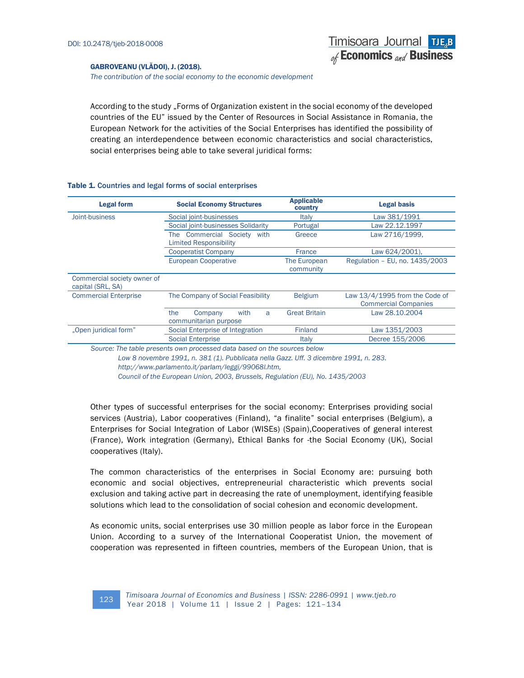The contribution of the social economy to the economic development

According to the study "Forms of Organization existent in the social economy of the developed countries of the EU" issued by the Center of Resources in Social Assistance in Romania, the European Network for the activities of the Social Enterprises has identified the possibility of creating an interdependence between economic characteristics and social characteristics, social enterprises being able to take several juridical forms:

| <b>Legal form</b>                                | <b>Social Economy Structures</b>                                          | <b>Applicable</b><br>country | <b>Legal basis</b>                                              |  |
|--------------------------------------------------|---------------------------------------------------------------------------|------------------------------|-----------------------------------------------------------------|--|
| Joint-business                                   | Social joint-businesses                                                   | <b>Italy</b>                 | Law 381/1991                                                    |  |
|                                                  | Social joint-businesses Solidarity                                        | Portugal                     | Law 22.12.1997                                                  |  |
|                                                  | <b>Commercial Society</b><br>with<br>The<br><b>Limited Responsibility</b> | Greece                       | Law 2716/1999.                                                  |  |
|                                                  | <b>Cooperatist Company</b>                                                | France                       | Law 624/2001).                                                  |  |
|                                                  | <b>European Cooperative</b>                                               | The European<br>community    | Regulation - EU, no. 1435/2003                                  |  |
| Commercial society owner of<br>capital (SRL, SA) |                                                                           |                              |                                                                 |  |
| <b>Commercial Enterprise</b>                     | The Company of Social Feasibility                                         | <b>Belgium</b>               | Law $13/4/1995$ from the Code of<br><b>Commercial Companies</b> |  |
|                                                  | the<br>with<br>Company<br>a<br>communitarian purpose                      | <b>Great Britain</b>         | Law 28.10.2004                                                  |  |
| "Open juridical form"                            | Social Enterprise of Integration                                          | <b>Finland</b>               | Law 1351/2003                                                   |  |
|                                                  | <b>Social Enterprise</b>                                                  | Italy                        | Decree 155/2006                                                 |  |

#### Table 1. Countries and legal forms of social enterprises

Source: The table presents own processed data based on the sources below

Low 8 novembre 1991, n. 381 (1). Pubblicata nella Gazz. Uff. 3 dicembre 1991, n. 283. http://www.parlamento.it/parlam/leggi/99068l.htm,

Council of the European Union, 2003, Brussels, Regulation (EU), No. 1435/2003

Other types of successful enterprises for the social economy: Enterprises providing social services (Austria), Labor cooperatives (Finland), "a finalite" social enterprises (Belgium), a Enterprises for Social Integration of Labor (WISEs) (Spain),Cooperatives of general interest (France), Work integration (Germany), Ethical Banks for -the Social Economy (UK), Social cooperatives (Italy).

The common characteristics of the enterprises in Social Economy are: pursuing both economic and social objectives, entrepreneurial characteristic which prevents social exclusion and taking active part in decreasing the rate of unemployment, identifying feasible solutions which lead to the consolidation of social cohesion and economic development.

As economic units, social enterprises use 30 million people as labor force in the European Union. According to a survey of the International Cooperatist Union, the movement of cooperation was represented in fifteen countries, members of the European Union, that is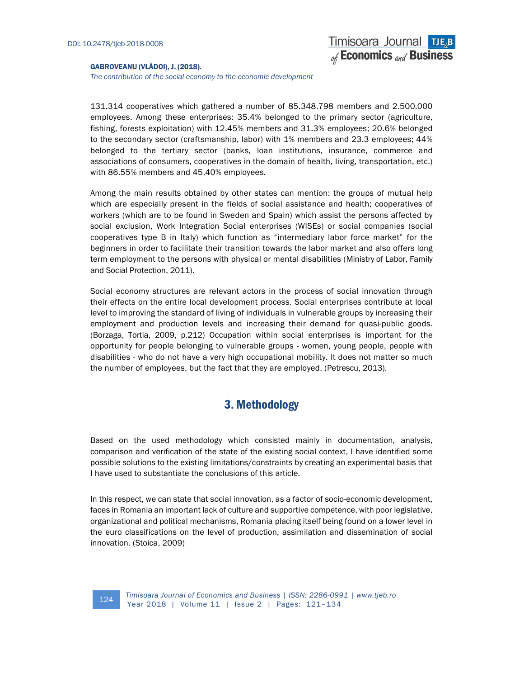The contribution of the social economy to the economic development

131.314 cooperatives which gathered a number of 85.348.798 members and 2.500.000 employees. Among these enterprises: 35.4% belonged to the primary sector (agriculture, fishing, forests exploitation) with 12.45% members and 31.3% employees; 20.6% belonged to the secondary sector (craftsmanship, labor) with 1% members and 23.3 employees; 44% belonged to the tertiary sector (banks, loan institutions, insurance, commerce and associations of consumers, cooperatives in the domain of health, living, transportation, etc.) with 86.55% members and 45.40% employees.

Among the main results obtained by other states can mention: the groups of mutual help which are especially present in the fields of social assistance and health; cooperatives of workers (which are to be found in Sweden and Spain) which assist the persons affected by social exclusion, Work Integration Social enterprises (WISEs) or social companies (social cooperatives type B in Italy) which function as "intermediary labor force market" for the beginners in order to facilitate their transition towards the labor market and also offers long term employment to the persons with physical or mental disabilities (Ministry of Labor, Family and Social Protection, 2011).

Social economy structures are relevant actors in the process of social innovation through their effects on the entire local development process. Social enterprises contribute at local level to improving the standard of living of individuals in vulnerable groups by increasing their employment and production levels and increasing their demand for quasi-public goods. (Borzaga, Tortia, 2009, p.212) Occupation within social enterprises is important for the opportunity for people belonging to vulnerable groups - women, young people, people with disabilities - who do not have a very high occupational mobility. It does not matter so much the number of employees, but the fact that they are employed. (Petrescu, 2013).

## 3. Methodology

Based on the used methodology which consisted mainly in documentation, analysis, comparison and verification of the state of the existing social context, I have identified some possible solutions to the existing limitations/constraints by creating an experimental basis that I have used to substantiate the conclusions of this article.

In this respect, we can state that social innovation, as a factor of socio-economic development, faces in Romania an important lack of culture and supportive competence, with poor legislative, organizational and political mechanisms, Romania placing itself being found on a lower level in the euro classifications on the level of production, assimilation and dissemination of social innovation. (Stoica, 2009)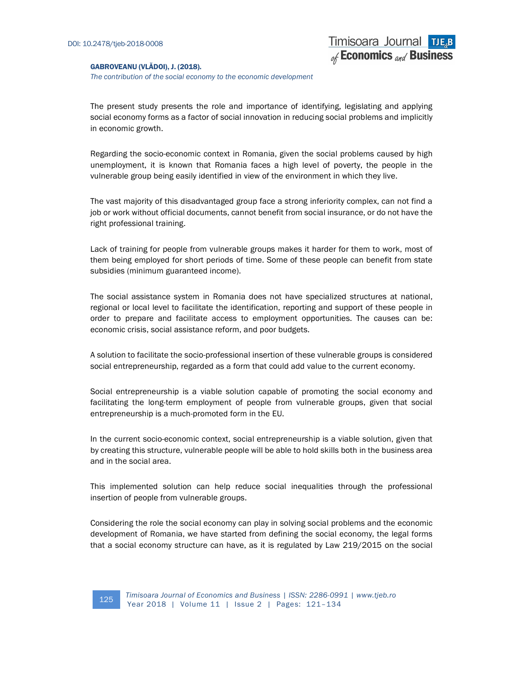The contribution of the social economy to the economic development

Timisoara Journal TJE<sub>R</sub>B of Economics and Business

The present study presents the role and importance of identifying, legislating and applying social economy forms as a factor of social innovation in reducing social problems and implicitly in economic growth.

Regarding the socio-economic context in Romania, given the social problems caused by high unemployment, it is known that Romania faces a high level of poverty, the people in the vulnerable group being easily identified in view of the environment in which they live.

The vast majority of this disadvantaged group face a strong inferiority complex, can not find a job or work without official documents, cannot benefit from social insurance, or do not have the right professional training.

Lack of training for people from vulnerable groups makes it harder for them to work, most of them being employed for short periods of time. Some of these people can benefit from state subsidies (minimum guaranteed income).

The social assistance system in Romania does not have specialized structures at national, regional or local level to facilitate the identification, reporting and support of these people in order to prepare and facilitate access to employment opportunities. The causes can be: economic crisis, social assistance reform, and poor budgets.

A solution to facilitate the socio-professional insertion of these vulnerable groups is considered social entrepreneurship, regarded as a form that could add value to the current economy.

Social entrepreneurship is a viable solution capable of promoting the social economy and facilitating the long-term employment of people from vulnerable groups, given that social entrepreneurship is a much-promoted form in the EU.

In the current socio-economic context, social entrepreneurship is a viable solution, given that by creating this structure, vulnerable people will be able to hold skills both in the business area and in the social area.

This implemented solution can help reduce social inequalities through the professional insertion of people from vulnerable groups.

Considering the role the social economy can play in solving social problems and the economic development of Romania, we have started from defining the social economy, the legal forms that a social economy structure can have, as it is regulated by Law 219/2015 on the social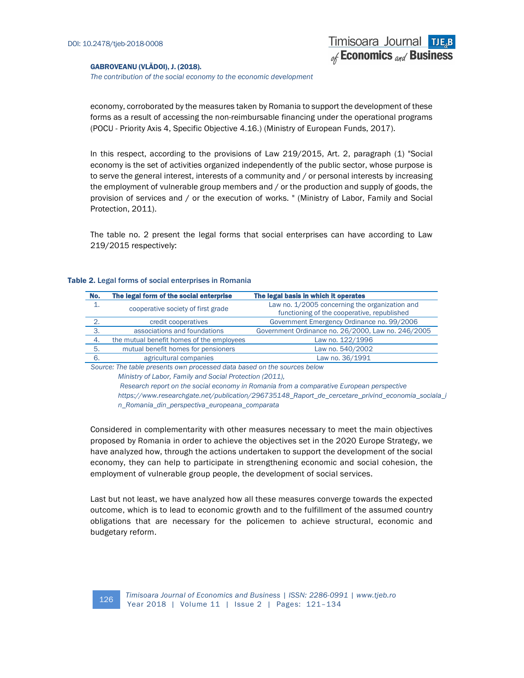The contribution of the social economy to the economic development

economy, corroborated by the measures taken by Romania to support the development of these forms as a result of accessing the non-reimbursable financing under the operational programs (POCU - Priority Axis 4, Specific Objective 4.16.) (Ministry of European Funds, 2017).

In this respect, according to the provisions of Law 219/2015, Art. 2, paragraph (1) "Social economy is the set of activities organized independently of the public sector, whose purpose is to serve the general interest, interests of a community and / or personal interests by increasing the employment of vulnerable group members and / or the production and supply of goods, the provision of services and / or the execution of works. " (Ministry of Labor, Family and Social Protection, 2011).

The table no. 2 present the legal forms that social enterprises can have according to Law 219/2015 respectively:

#### Table 2. Legal forms of social enterprises in Romania

| No.                                                                      | The legal form of the social enterprise   | The legal basis in which it operates                                                          |  |  |  |
|--------------------------------------------------------------------------|-------------------------------------------|-----------------------------------------------------------------------------------------------|--|--|--|
|                                                                          | cooperative society of first grade        | Law no. 1/2005 concerning the organization and<br>functioning of the cooperative, republished |  |  |  |
| 2.                                                                       | credit cooperatives                       | Government Emergency Ordinance no. 99/2006                                                    |  |  |  |
| $\mathbf{3}$                                                             | associations and foundations              | Government Ordinance no. 26/2000, Law no. 246/2005                                            |  |  |  |
| 4.                                                                       | the mutual benefit homes of the employees | Law no. 122/1996                                                                              |  |  |  |
| 5.                                                                       | mutual benefit homes for pensioners       | Law no. 540/2002                                                                              |  |  |  |
| 6.                                                                       | agricultural companies                    | Law no. 36/1991                                                                               |  |  |  |
| Source: The table presents own processed data based on the sources below |                                           |                                                                                               |  |  |  |

Ministry of Labor, Family and Social Protection (2011),

 Research report on the social economy in Romania from a comparative European perspective https://www.researchgate.net/publication/296735148\_Raport\_de\_cercetare\_privind\_economia\_sociala\_i n\_Romania\_din\_perspectiva\_europeana\_comparata

Considered in complementarity with other measures necessary to meet the main objectives proposed by Romania in order to achieve the objectives set in the 2020 Europe Strategy, we have analyzed how, through the actions undertaken to support the development of the social economy, they can help to participate in strengthening economic and social cohesion, the employment of vulnerable group people, the development of social services.

Last but not least, we have analyzed how all these measures converge towards the expected outcome, which is to lead to economic growth and to the fulfillment of the assumed country obligations that are necessary for the policemen to achieve structural, economic and budgetary reform.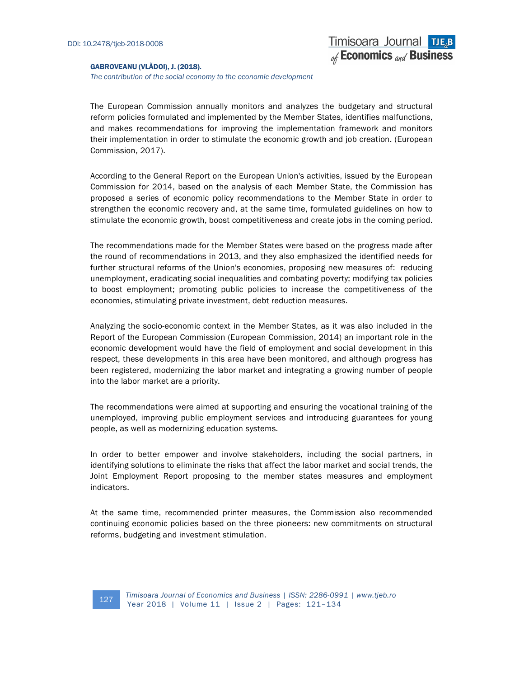The contribution of the social economy to the economic development

The European Commission annually monitors and analyzes the budgetary and structural reform policies formulated and implemented by the Member States, identifies malfunctions, and makes recommendations for improving the implementation framework and monitors their implementation in order to stimulate the economic growth and job creation. (European Commission, 2017).

According to the General Report on the European Union's activities, issued by the European Commission for 2014, based on the analysis of each Member State, the Commission has proposed a series of economic policy recommendations to the Member State in order to strengthen the economic recovery and, at the same time, formulated guidelines on how to stimulate the economic growth, boost competitiveness and create jobs in the coming period.

The recommendations made for the Member States were based on the progress made after the round of recommendations in 2013, and they also emphasized the identified needs for further structural reforms of the Union's economies, proposing new measures of: reducing unemployment, eradicating social inequalities and combating poverty; modifying tax policies to boost employment; promoting public policies to increase the competitiveness of the economies, stimulating private investment, debt reduction measures.

Analyzing the socio-economic context in the Member States, as it was also included in the Report of the European Commission (European Commission, 2014) an important role in the economic development would have the field of employment and social development in this respect, these developments in this area have been monitored, and although progress has been registered, modernizing the labor market and integrating a growing number of people into the labor market are a priority.

The recommendations were aimed at supporting and ensuring the vocational training of the unemployed, improving public employment services and introducing guarantees for young people, as well as modernizing education systems.

In order to better empower and involve stakeholders, including the social partners, in identifying solutions to eliminate the risks that affect the labor market and social trends, the Joint Employment Report proposing to the member states measures and employment indicators.

At the same time, recommended printer measures, the Commission also recommended continuing economic policies based on the three pioneers: new commitments on structural reforms, budgeting and investment stimulation.

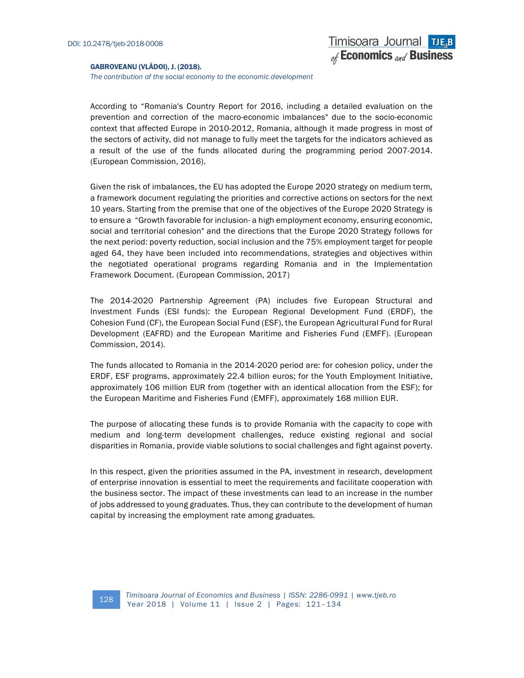The contribution of the social economy to the economic development

According to "Romania's Country Report for 2016, including a detailed evaluation on the prevention and correction of the macro-economic imbalances" due to the socio-economic context that affected Europe in 2010-2012, Romania, although it made progress in most of the sectors of activity, did not manage to fully meet the targets for the indicators achieved as a result of the use of the funds allocated during the programming period 2007-2014. (European Commission, 2016).

Given the risk of imbalances, the EU has adopted the Europe 2020 strategy on medium term, a framework document regulating the priorities and corrective actions on sectors for the next 10 years. Starting from the premise that one of the objectives of the Europe 2020 Strategy is to ensure a "Growth favorable for inclusion- a high employment economy, ensuring economic, social and territorial cohesion" and the directions that the Europe 2020 Strategy follows for the next period: poverty reduction, social inclusion and the 75% employment target for people aged 64, they have been included into recommendations, strategies and objectives within the negotiated operational programs regarding Romania and in the Implementation Framework Document. (European Commission, 2017)

The 2014-2020 Partnership Agreement (PA) includes five European Structural and Investment Funds (ESI funds): the European Regional Development Fund (ERDF), the Cohesion Fund (CF), the European Social Fund (ESF), the European Agricultural Fund for Rural Development (EAFRD) and the European Maritime and Fisheries Fund (EMFF). (European Commission, 2014).

The funds allocated to Romania in the 2014-2020 period are: for cohesion policy, under the ERDF, ESF programs, approximately 22.4 billion euros; for the Youth Employment Initiative, approximately 106 million EUR from (together with an identical allocation from the ESF); for the European Maritime and Fisheries Fund (EMFF), approximately 168 million EUR.

The purpose of allocating these funds is to provide Romania with the capacity to cope with medium and long-term development challenges, reduce existing regional and social disparities in Romania, provide viable solutions to social challenges and fight against poverty.

In this respect, given the priorities assumed in the PA, investment in research, development of enterprise innovation is essential to meet the requirements and facilitate cooperation with the business sector. The impact of these investments can lead to an increase in the number of jobs addressed to young graduates. Thus, they can contribute to the development of human capital by increasing the employment rate among graduates.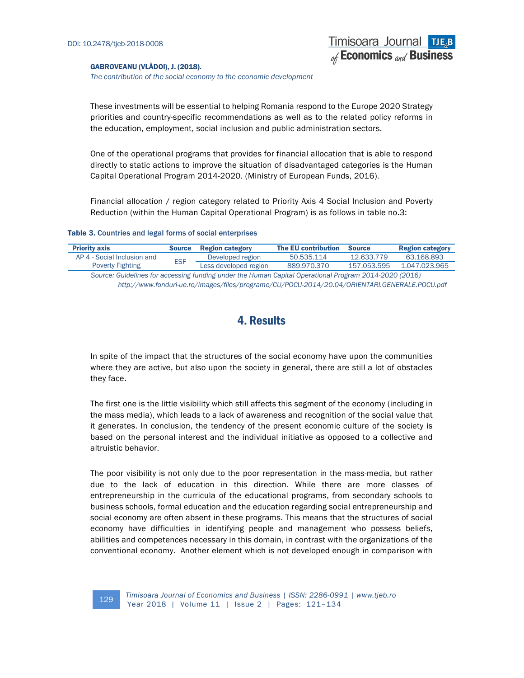The contribution of the social economy to the economic development

These investments will be essential to helping Romania respond to the Europe 2020 Strategy priorities and country-specific recommendations as well as to the related policy reforms in the education, employment, social inclusion and public administration sectors.

Timisoara Journal TJE<sub>R</sub>B of Economics and Business

One of the operational programs that provides for financial allocation that is able to respond directly to static actions to improve the situation of disadvantaged categories is the Human Capital Operational Program 2014-2020. (Ministry of European Funds, 2016).

Financial allocation / region category related to Priority Axis 4 Social Inclusion and Poverty Reduction (within the Human Capital Operational Program) is as follows in table no.3:

#### Table 3. Countries and legal forms of social enterprises

| <b>Priority axis</b>                                                                                  | <b>Source</b> | <b>Region category</b> | <b>The EU contribution</b> | <b>Source</b> | <b>Region category</b> |
|-------------------------------------------------------------------------------------------------------|---------------|------------------------|----------------------------|---------------|------------------------|
| AP 4 - Social Inclusion and                                                                           | <b>FSF</b>    | Developed region       | 50.535.114                 | 12.633.779    | 63.168.893             |
| <b>Poverty Fighting</b>                                                                               |               | Less developed region  | 889.970.370                | 157.053.595   | 1.047.023.965          |
| Source: Guidelines for accessing funding under the Human Capital Operational Program 2014-2020 (2016) |               |                        |                            |               |                        |
| http://www.fonduri-ue.ro/images/files/programe/CU/POCU-2014/20.04/ORIENTARI.GENERALE.POCU.pdf         |               |                        |                            |               |                        |

### 4. Results

In spite of the impact that the structures of the social economy have upon the communities where they are active, but also upon the society in general, there are still a lot of obstacles they face.

The first one is the little visibility which still affects this segment of the economy (including in the mass media), which leads to a lack of awareness and recognition of the social value that it generates. In conclusion, the tendency of the present economic culture of the society is based on the personal interest and the individual initiative as opposed to a collective and altruistic behavior.

The poor visibility is not only due to the poor representation in the mass-media, but rather due to the lack of education in this direction. While there are more classes of entrepreneurship in the curricula of the educational programs, from secondary schools to business schools, formal education and the education regarding social entrepreneurship and social economy are often absent in these programs. This means that the structures of social economy have difficulties in identifying people and management who possess beliefs, abilities and competences necessary in this domain, in contrast with the organizations of the conventional economy. Another element which is not developed enough in comparison with

Timisoara Journal of Economics and Business | ISSN: 2286-0991 | www.tjeb.ro The Commission of the Continues and Business | ISBN: 2280-099<br>Year 2018 | Volume 11 | Issue 2 | Pages: 121-134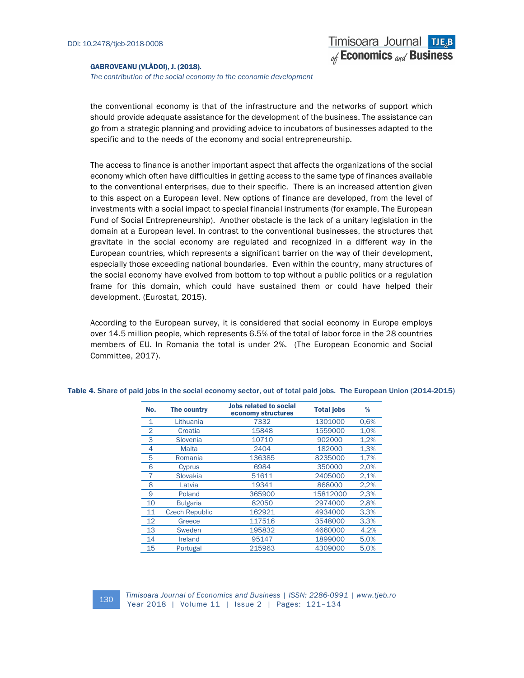The contribution of the social economy to the economic development

the conventional economy is that of the infrastructure and the networks of support which should provide adequate assistance for the development of the business. The assistance can go from a strategic planning and providing advice to incubators of businesses adapted to the specific and to the needs of the economy and social entrepreneurship.

The access to finance is another important aspect that affects the organizations of the social economy which often have difficulties in getting access to the same type of finances available to the conventional enterprises, due to their specific. There is an increased attention given to this aspect on a European level. New options of finance are developed, from the level of investments with a social impact to special financial instruments (for example, The European Fund of Social Entrepreneurship). Another obstacle is the lack of a unitary legislation in the domain at a European level. In contrast to the conventional businesses, the structures that gravitate in the social economy are regulated and recognized in a different way in the European countries, which represents a significant barrier on the way of their development, especially those exceeding national boundaries. Even within the country, many structures of the social economy have evolved from bottom to top without a public politics or a regulation frame for this domain, which could have sustained them or could have helped their development. (Eurostat, 2015).

According to the European survey, it is considered that social economy in Europe employs over 14.5 million people, which represents 6.5% of the total of labor force in the 28 countries members of EU. In Romania the total is under 2%. (The European Economic and Social Committee, 2017).

| No.            | The country           | <b>Jobs related to social</b><br>economy structures | <b>Total jobs</b> | %    |
|----------------|-----------------------|-----------------------------------------------------|-------------------|------|
| 1              | Lithuania             | 7332                                                | 1301000           | 0,6% |
| $\overline{2}$ | Croatia               | 15848                                               | 1559000           | 1,0% |
| 3              | Slovenia              | 10710                                               | 902000            | 1,2% |
| 4              | Malta                 | 2404                                                | 182000            | 1,3% |
| 5              | Romania               | 136385                                              | 8235000           | 1,7% |
| 6              | Cyprus                | 6984                                                | 350000            | 2,0% |
|                | Slovakia              | 51611                                               | 2405000           | 2,1% |
| 8              | Latvia                | 19341                                               | 868000            | 2,2% |
| 9              | Poland                | 365900                                              | 15812000          | 2,3% |
| 10             | <b>Bulgaria</b>       | 82050                                               | 2974000           | 2,8% |
| 11             | <b>Czech Republic</b> | 162921                                              | 4934000           | 3,3% |
| 12             | Greece                | 117516                                              | 3548000           | 3,3% |
| 13             | Sweden                | 195832                                              | 4660000           | 4,2% |
| 14             | Ireland               | 95147                                               | 1899000           | 5,0% |
| 15             | Portugal              | 215963                                              | 4309000           | 5,0% |

Table 4. Share of paid jobs in the social economy sector, out of total paid jobs. The European Union (2014-2015)

Timisoara Journal of Economics and Business | ISSN: 2286-0991 | www.tjeb.ro The Commission of Londonics and Business | ISBN: 2286-099<br>Year 2018 | Volume 11 | Issue 2 | Pages: 121-134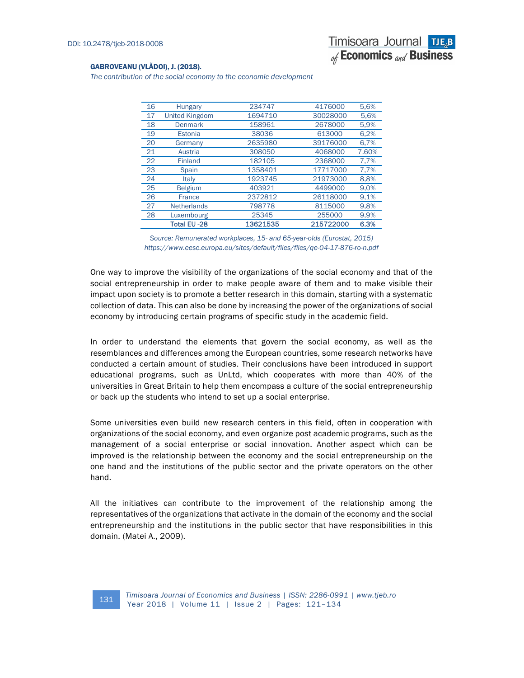The contribution of the social economy to the economic development

| 16 | <b>Hungary</b>        | 234747   | 4176000   | 5,6%  |
|----|-----------------------|----------|-----------|-------|
| 17 | <b>United Kingdom</b> | 1694710  | 30028000  | 5.6%  |
| 18 | <b>Denmark</b>        | 158961   | 2678000   | 5,9%  |
| 19 | Estonia               | 38036    | 613000    | 6,2%  |
| 20 | Germany               | 2635980  | 39176000  | 6,7%  |
| 21 | Austria               | 308050   | 4068000   | 7.60% |
| 22 | <b>Finland</b>        | 182105   | 2368000   | 7,7%  |
| 23 | Spain                 | 1358401  | 17717000  | 7,7%  |
| 24 | Italy                 | 1923745  | 21973000  | 8,8%  |
| 25 | <b>Belgium</b>        | 403921   | 4499000   | 9.0%  |
| 26 | <b>France</b>         | 2372812  | 26118000  | 9.1%  |
| 27 | <b>Netherlands</b>    | 798778   | 8115000   | 9,8%  |
| 28 | Luxembourg            | 25345    | 255000    | 9,9%  |
|    | Total EU -28          | 13621535 | 215722000 | 6.3%  |

Source: Remunerated workplaces, 15- and 65-year-olds (Eurostat, 2015) https://www.eesc.europa.eu/sites/default/files/files/qe-04-17-876-ro-n.pdf

One way to improve the visibility of the organizations of the social economy and that of the social entrepreneurship in order to make people aware of them and to make visible their impact upon society is to promote a better research in this domain, starting with a systematic collection of data. This can also be done by increasing the power of the organizations of social economy by introducing certain programs of specific study in the academic field.

In order to understand the elements that govern the social economy, as well as the resemblances and differences among the European countries, some research networks have conducted a certain amount of studies. Their conclusions have been introduced in support educational programs, such as UnLtd, which cooperates with more than 40% of the universities in Great Britain to help them encompass a culture of the social entrepreneurship or back up the students who intend to set up a social enterprise.

Some universities even build new research centers in this field, often in cooperation with organizations of the social economy, and even organize post academic programs, such as the management of a social enterprise or social innovation. Another aspect which can be improved is the relationship between the economy and the social entrepreneurship on the one hand and the institutions of the public sector and the private operators on the other hand.

All the initiatives can contribute to the improvement of the relationship among the representatives of the organizations that activate in the domain of the economy and the social entrepreneurship and the institutions in the public sector that have responsibilities in this domain. (Matei A., 2009).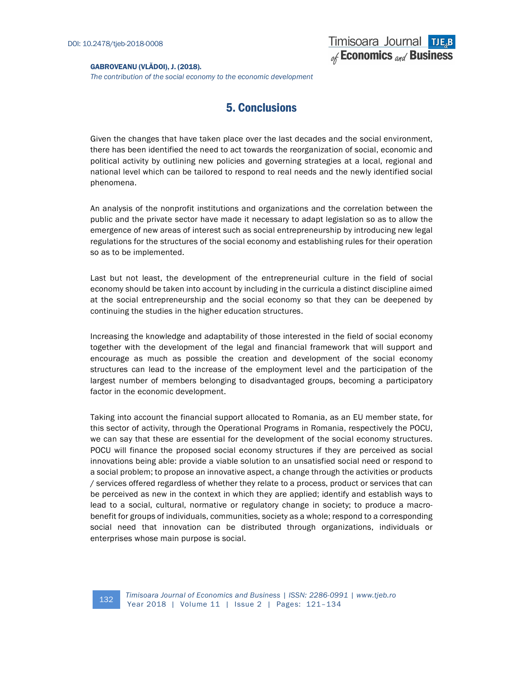The contribution of the social economy to the economic development

# 5. Conclusions

Given the changes that have taken place over the last decades and the social environment, there has been identified the need to act towards the reorganization of social, economic and political activity by outlining new policies and governing strategies at a local, regional and national level which can be tailored to respond to real needs and the newly identified social phenomena.

An analysis of the nonprofit institutions and organizations and the correlation between the public and the private sector have made it necessary to adapt legislation so as to allow the emergence of new areas of interest such as social entrepreneurship by introducing new legal regulations for the structures of the social economy and establishing rules for their operation so as to be implemented.

Last but not least, the development of the entrepreneurial culture in the field of social economy should be taken into account by including in the curricula a distinct discipline aimed at the social entrepreneurship and the social economy so that they can be deepened by continuing the studies in the higher education structures.

Increasing the knowledge and adaptability of those interested in the field of social economy together with the development of the legal and financial framework that will support and encourage as much as possible the creation and development of the social economy structures can lead to the increase of the employment level and the participation of the largest number of members belonging to disadvantaged groups, becoming a participatory factor in the economic development.

Taking into account the financial support allocated to Romania, as an EU member state, for this sector of activity, through the Operational Programs in Romania, respectively the POCU, we can say that these are essential for the development of the social economy structures. POCU will finance the proposed social economy structures if they are perceived as social innovations being able: provide a viable solution to an unsatisfied social need or respond to a social problem; to propose an innovative aspect, a change through the activities or products / services offered regardless of whether they relate to a process, product or services that can be perceived as new in the context in which they are applied; identify and establish ways to lead to a social, cultural, normative or regulatory change in society; to produce a macrobenefit for groups of individuals, communities, society as a whole; respond to a corresponding social need that innovation can be distributed through organizations, individuals or enterprises whose main purpose is social.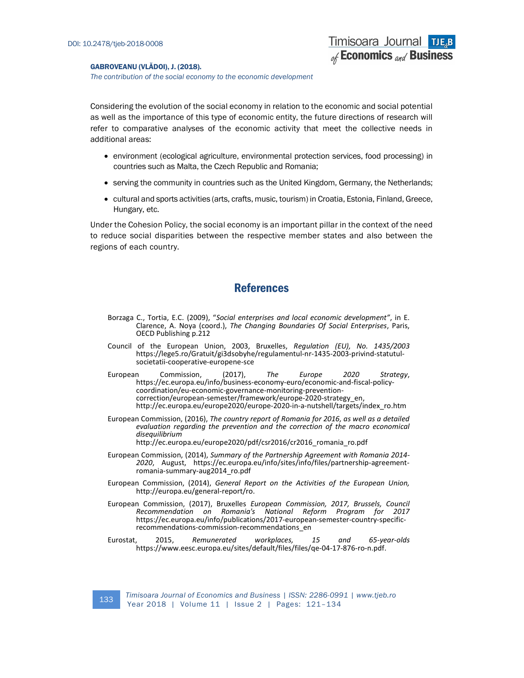The contribution of the social economy to the economic development

Considering the evolution of the social economy in relation to the economic and social potential as well as the importance of this type of economic entity, the future directions of research will refer to comparative analyses of the economic activity that meet the collective needs in additional areas:

- environment (ecological agriculture, environmental protection services, food processing) in countries such as Malta, the Czech Republic and Romania;
- serving the community in countries such as the United Kingdom, Germany, the Netherlands;
- cultural and sports activities (arts, crafts, music, tourism) in Croatia, Estonia, Finland, Greece, Hungary, etc.

Under the Cohesion Policy, the social economy is an important pillar in the context of the need to reduce social disparities between the respective member states and also between the regions of each country.

### References

- Borzaga C., Tortia, E.C. (2009), "Social enterprises and local economic development", in E. Clarence, A. Noya (coord.), The Changing Boundaries Of Social Enterprises, Paris, OECD Publishing p.212
- Council of the European Union, 2003, Bruxelles, Regulation (EU), No. 1435/2003 https://lege5.ro/Gratuit/gi3dsobyhe/regulamentul-nr-1435-2003-privind-statutulsocietatii-cooperative-europene-sce
- European Commission, (2017), The Europe 2020 Strategy, https://ec.europa.eu/info/business-economy-euro/economic-and-fiscal-policycoordination/eu-economic-governance-monitoring-preventioncorrection/european-semester/framework/europe-2020-strategy\_en, http://ec.europa.eu/europe2020/europe-2020-in-a-nutshell/targets/index\_ro.htm
- European Commission, (2016), The country report of Romania for 2016, as well as a detailed evaluation regarding the prevention and the correction of the macro economical disequilibrium

http://ec.europa.eu/europe2020/pdf/csr2016/cr2016\_romania\_ro.pdf

- European Commission, (2014), Summary of the Partnership Agreement with Romania 2014- 2020, August, https://ec.europa.eu/info/sites/info/files/partnership-agreementromania-summary-aug2014\_ro.pdf
- European Commission, (2014), General Report on the Activities of the European Union, http://europa.eu/general-report/ro.
- European Commission, (2017), Bruxelles European Commission, 2017, Brussels, Council Recommendation on Romania's National Reform Program for 2017 https://ec.europa.eu/info/publications/2017-european-semester-country-specificrecommendations-commission-recommendations\_en
- Eurostat, 2015, Remunerated workplaces, 15 and 65-year-olds https://www.eesc.europa.eu/sites/default/files/files/qe-04-17-876-ro-n.pdf.

Timisoara Journal of Economics and Business | ISSN: 2286-0991 | www.tjeb.ro The Commission of Londonnes and Business | ISBN: 2260-093<br>Year 2018 | Volume 11 | Issue 2 | Pages: 121-134